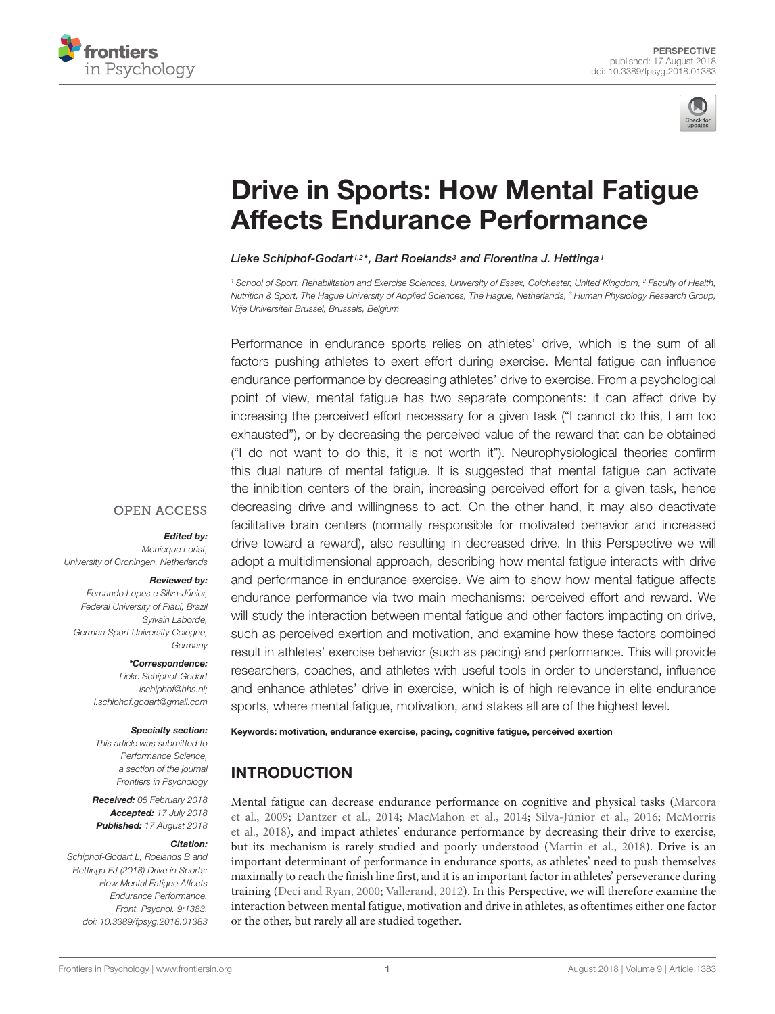



# [Drive in Sports: How Mental Fatigue](https://www.frontiersin.org/articles/10.3389/fpsyg.2018.01383/full) Affects Endurance Performance

#### [Lieke Schiphof-Godart](http://loop.frontiersin.org/people/314924/overview)1,2\*, [Bart Roelands](http://loop.frontiersin.org/people/268119/overview)3 and [Florentina J. Hettinga](http://loop.frontiersin.org/people/285919/overview)1

<sup>1</sup> School of Sport, Rehabilitation and Exercise Sciences, University of Essex, Colchester, United Kingdom, <sup>2</sup> Faculty of Health, Nutrition & Sport, The Hague University of Applied Sciences, The Hague, Netherlands, <sup>3</sup> Human Physiology Research Group, Vrije Universiteit Brussel, Brussels, Belgium

Performance in endurance sports relies on athletes' drive, which is the sum of all factors pushing athletes to exert effort during exercise. Mental fatigue can influence endurance performance by decreasing athletes' drive to exercise. From a psychological point of view, mental fatigue has two separate components: it can affect drive by increasing the perceived effort necessary for a given task ("I cannot do this, I am too exhausted"), or by decreasing the perceived value of the reward that can be obtained ("I do not want to do this, it is not worth it"). Neurophysiological theories confirm this dual nature of mental fatigue. It is suggested that mental fatigue can activate the inhibition centers of the brain, increasing perceived effort for a given task, hence decreasing drive and willingness to act. On the other hand, it may also deactivate facilitative brain centers (normally responsible for motivated behavior and increased drive toward a reward), also resulting in decreased drive. In this Perspective we will adopt a multidimensional approach, describing how mental fatigue interacts with drive and performance in endurance exercise. We aim to show how mental fatigue affects endurance performance via two main mechanisms: perceived effort and reward. We will study the interaction between mental fatigue and other factors impacting on drive, such as perceived exertion and motivation, and examine how these factors combined result in athletes' exercise behavior (such as pacing) and performance. This will provide researchers, coaches, and athletes with useful tools in order to understand, influence and enhance athletes' drive in exercise, which is of high relevance in elite endurance sports, where mental fatigue, motivation, and stakes all are of the highest level.

#### **OPEN ACCESS**

#### Edited by:

Monicque Lorist. University of Groningen, Netherlands

#### Reviewed by:

Fernando Lopes e Silva-Júnior, Federal University of Piauí, Brazil Sylvain Laborde, German Sport University Cologne, **Germany** 

#### \*Correspondence:

Lieke Schiphof-Godart lschiphof@hhs.nl; l.schiphof.godart@gmail.com

#### Specialty section:

This article was submitted to Performance Science, a section of the journal Frontiers in Psychology

Received: 05 February 2018 Accepted: 17 July 2018 Published: 17 August 2018

#### Citation:

Schiphof-Godart L, Roelands B and Hettinga FJ (2018) Drive in Sports: How Mental Fatigue Affects Endurance Performance. Front. Psychol. 9:1383. doi: [10.3389/fpsyg.2018.01383](https://doi.org/10.3389/fpsyg.2018.01383) Keywords: motivation, endurance exercise, pacing, cognitive fatigue, perceived exertion

# INTRODUCTION

Mental fatigue can decrease endurance performance on cognitive and physical tasks [\(Marcora](#page-5-0) [et al.,](#page-5-0) [2009;](#page-5-0) [Dantzer et al.,](#page-4-0) [2014;](#page-4-0) [MacMahon et al.,](#page-5-1) [2014;](#page-5-1) [Silva-Júnior et al.,](#page-6-0) [2016;](#page-6-0) [McMorris](#page-5-2) [et al.,](#page-5-2) [2018\)](#page-5-2), and impact athletes' endurance performance by decreasing their drive to exercise, but its mechanism is rarely studied and poorly understood [\(Martin et al.,](#page-5-3) [2018\)](#page-5-3). Drive is an important determinant of performance in endurance sports, as athletes' need to push themselves maximally to reach the finish line first, and it is an important factor in athletes' perseverance during training [\(Deci and Ryan,](#page-4-1) [2000;](#page-4-1) [Vallerand,](#page-6-1) [2012\)](#page-6-1). In this Perspective, we will therefore examine the interaction between mental fatigue, motivation and drive in athletes, as oftentimes either one factor or the other, but rarely all are studied together.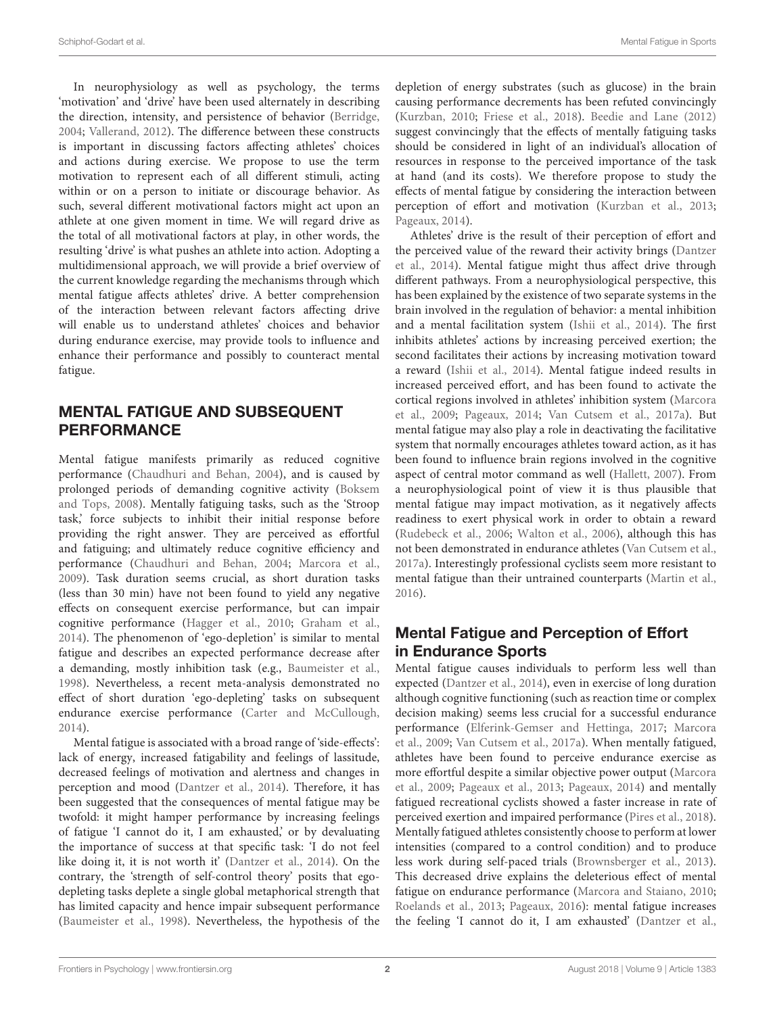In neurophysiology as well as psychology, the terms 'motivation' and 'drive' have been used alternately in describing the direction, intensity, and persistence of behavior [\(Berridge,](#page-4-2) [2004;](#page-4-2) [Vallerand,](#page-6-1) [2012\)](#page-6-1). The difference between these constructs is important in discussing factors affecting athletes' choices and actions during exercise. We propose to use the term motivation to represent each of all different stimuli, acting within or on a person to initiate or discourage behavior. As such, several different motivational factors might act upon an athlete at one given moment in time. We will regard drive as the total of all motivational factors at play, in other words, the resulting 'drive' is what pushes an athlete into action. Adopting a multidimensional approach, we will provide a brief overview of the current knowledge regarding the mechanisms through which mental fatigue affects athletes' drive. A better comprehension of the interaction between relevant factors affecting drive will enable us to understand athletes' choices and behavior during endurance exercise, may provide tools to influence and enhance their performance and possibly to counteract mental fatigue.

# MENTAL FATIGUE AND SUBSEQUENT PERFORMANCE

Mental fatigue manifests primarily as reduced cognitive performance [\(Chaudhuri and Behan,](#page-4-3) [2004\)](#page-4-3), and is caused by prolonged periods of demanding cognitive activity [\(Boksem](#page-4-4) [and Tops,](#page-4-4) [2008\)](#page-4-4). Mentally fatiguing tasks, such as the 'Stroop task,' force subjects to inhibit their initial response before providing the right answer. They are perceived as effortful and fatiguing; and ultimately reduce cognitive efficiency and performance [\(Chaudhuri and Behan,](#page-4-3) [2004;](#page-4-3) [Marcora et al.,](#page-5-0) [2009\)](#page-5-0). Task duration seems crucial, as short duration tasks (less than 30 min) have not been found to yield any negative effects on consequent exercise performance, but can impair cognitive performance [\(Hagger et al.,](#page-5-4) [2010;](#page-5-4) [Graham et al.,](#page-5-5) [2014\)](#page-5-5). The phenomenon of 'ego-depletion' is similar to mental fatigue and describes an expected performance decrease after a demanding, mostly inhibition task (e.g., [Baumeister et al.,](#page-4-5) [1998\)](#page-4-5). Nevertheless, a recent meta-analysis demonstrated no effect of short duration 'ego-depleting' tasks on subsequent endurance exercise performance [\(Carter and McCullough,](#page-4-6) [2014\)](#page-4-6).

Mental fatigue is associated with a broad range of 'side-effects': lack of energy, increased fatigability and feelings of lassitude, decreased feelings of motivation and alertness and changes in perception and mood [\(Dantzer et al.,](#page-4-0) [2014\)](#page-4-0). Therefore, it has been suggested that the consequences of mental fatigue may be twofold: it might hamper performance by increasing feelings of fatigue 'I cannot do it, I am exhausted,' or by devaluating the importance of success at that specific task: 'I do not feel like doing it, it is not worth it' [\(Dantzer et al.,](#page-4-0) [2014\)](#page-4-0). On the contrary, the 'strength of self-control theory' posits that egodepleting tasks deplete a single global metaphorical strength that has limited capacity and hence impair subsequent performance [\(Baumeister et al.,](#page-4-5) [1998\)](#page-4-5). Nevertheless, the hypothesis of the depletion of energy substrates (such as glucose) in the brain causing performance decrements has been refuted convincingly [\(Kurzban,](#page-5-6) [2010;](#page-5-6) [Friese et al.,](#page-5-7) [2018\)](#page-5-7). [Beedie and Lane](#page-4-7) [\(2012\)](#page-4-7) suggest convincingly that the effects of mentally fatiguing tasks should be considered in light of an individual's allocation of resources in response to the perceived importance of the task at hand (and its costs). We therefore propose to study the effects of mental fatigue by considering the interaction between perception of effort and motivation [\(Kurzban et al.,](#page-5-8) [2013;](#page-5-8) [Pageaux,](#page-5-9) [2014\)](#page-5-9).

Athletes' drive is the result of their perception of effort and the perceived value of the reward their activity brings [\(Dantzer](#page-4-0) [et al.,](#page-4-0) [2014\)](#page-4-0). Mental fatigue might thus affect drive through different pathways. From a neurophysiological perspective, this has been explained by the existence of two separate systems in the brain involved in the regulation of behavior: a mental inhibition and a mental facilitation system [\(Ishii et al.,](#page-5-10) [2014\)](#page-5-10). The first inhibits athletes' actions by increasing perceived exertion; the second facilitates their actions by increasing motivation toward a reward [\(Ishii et al.,](#page-5-10) [2014\)](#page-5-10). Mental fatigue indeed results in increased perceived effort, and has been found to activate the cortical regions involved in athletes' inhibition system [\(Marcora](#page-5-0) [et al.,](#page-5-0) [2009;](#page-5-0) [Pageaux,](#page-5-9) [2014;](#page-5-9) [Van Cutsem et al.,](#page-6-2) [2017a\)](#page-6-2). But mental fatigue may also play a role in deactivating the facilitative system that normally encourages athletes toward action, as it has been found to influence brain regions involved in the cognitive aspect of central motor command as well [\(Hallett,](#page-5-11) [2007\)](#page-5-11). From a neurophysiological point of view it is thus plausible that mental fatigue may impact motivation, as it negatively affects readiness to exert physical work in order to obtain a reward [\(Rudebeck et al.,](#page-6-3) [2006;](#page-6-3) [Walton et al.,](#page-6-4) [2006\)](#page-6-4), although this has not been demonstrated in endurance athletes [\(Van Cutsem et al.,](#page-6-2) [2017a\)](#page-6-2). Interestingly professional cyclists seem more resistant to mental fatigue than their untrained counterparts [\(Martin et al.,](#page-5-12) [2016\)](#page-5-12).

# Mental Fatigue and Perception of Effort in Endurance Sports

Mental fatigue causes individuals to perform less well than expected [\(Dantzer et al.,](#page-4-0) [2014\)](#page-4-0), even in exercise of long duration although cognitive functioning (such as reaction time or complex decision making) seems less crucial for a successful endurance performance [\(Elferink-Gemser and Hettinga,](#page-5-13) [2017;](#page-5-13) [Marcora](#page-5-0) [et al.,](#page-5-0) [2009;](#page-5-0) [Van Cutsem et al.,](#page-6-2) [2017a\)](#page-6-2). When mentally fatigued, athletes have been found to perceive endurance exercise as more effortful despite a similar objective power output [\(Marcora](#page-5-0) [et al.,](#page-5-0) [2009;](#page-5-0) [Pageaux et al.,](#page-6-5) [2013;](#page-6-5) [Pageaux,](#page-5-9) [2014\)](#page-5-9) and mentally fatigued recreational cyclists showed a faster increase in rate of perceived exertion and impaired performance [\(Pires et al.,](#page-6-6) [2018\)](#page-6-6). Mentally fatigued athletes consistently choose to perform at lower intensities (compared to a control condition) and to produce less work during self-paced trials [\(Brownsberger et al.,](#page-4-8) [2013\)](#page-4-8). This decreased drive explains the deleterious effect of mental fatigue on endurance performance [\(Marcora and Staiano,](#page-5-14) [2010;](#page-5-14) [Roelands et al.,](#page-6-7) [2013;](#page-6-7) [Pageaux,](#page-6-8) [2016\)](#page-6-8): mental fatigue increases the feeling 'I cannot do it, I am exhausted' [\(Dantzer et al.,](#page-4-0)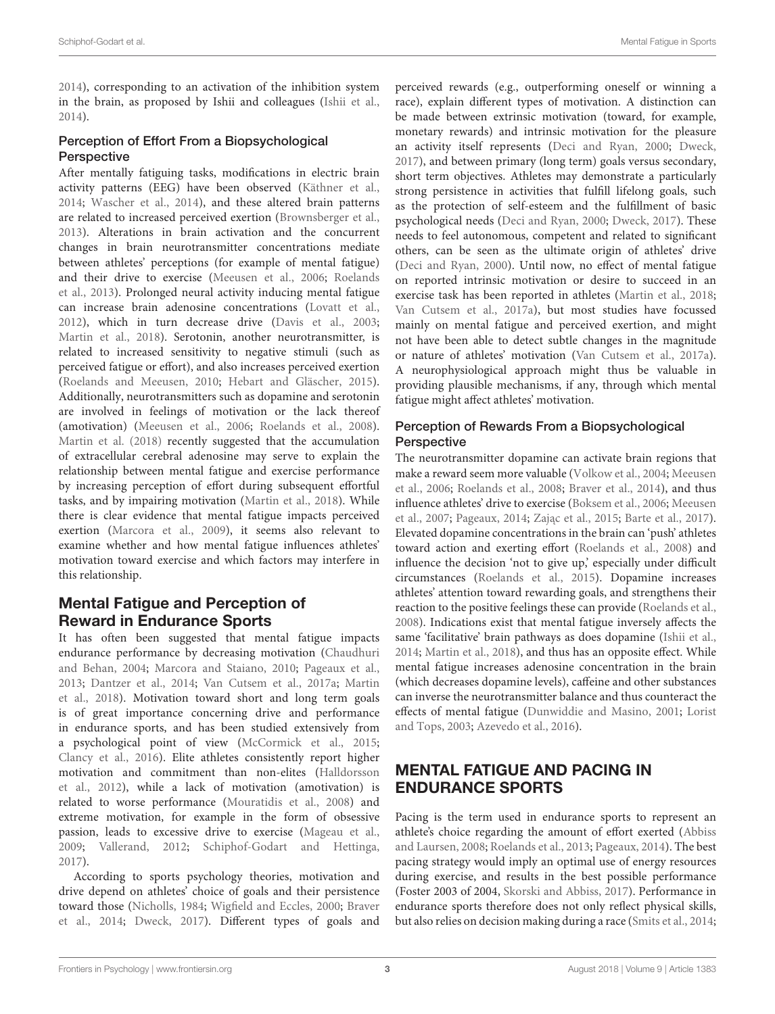[2014\)](#page-4-0), corresponding to an activation of the inhibition system in the brain, as proposed by Ishii and colleagues [\(Ishii et al.,](#page-5-10) [2014\)](#page-5-10).

#### Perception of Effort From a Biopsychological **Perspective**

After mentally fatiguing tasks, modifications in electric brain activity patterns (EEG) have been observed [\(Käthner et al.,](#page-5-15) [2014;](#page-5-15) [Wascher et al.,](#page-6-9) [2014\)](#page-6-9), and these altered brain patterns are related to increased perceived exertion [\(Brownsberger et al.,](#page-4-8) [2013\)](#page-4-8). Alterations in brain activation and the concurrent changes in brain neurotransmitter concentrations mediate between athletes' perceptions (for example of mental fatigue) and their drive to exercise [\(Meeusen et al.,](#page-5-16) [2006;](#page-5-16) [Roelands](#page-6-7) [et al.,](#page-6-7) [2013\)](#page-6-7). Prolonged neural activity inducing mental fatigue can increase brain adenosine concentrations [\(Lovatt et al.,](#page-5-17) [2012\)](#page-5-17), which in turn decrease drive [\(Davis et al.,](#page-4-9) [2003;](#page-4-9) [Martin et al.,](#page-5-3) [2018\)](#page-5-3). Serotonin, another neurotransmitter, is related to increased sensitivity to negative stimuli (such as perceived fatigue or effort), and also increases perceived exertion [\(Roelands and Meeusen,](#page-6-10) [2010;](#page-6-10) [Hebart and Gläscher,](#page-5-18) [2015\)](#page-5-18). Additionally, neurotransmitters such as dopamine and serotonin are involved in feelings of motivation or the lack thereof (amotivation) [\(Meeusen et al.,](#page-5-16) [2006;](#page-5-16) [Roelands et al.,](#page-6-11) [2008\)](#page-6-11). [Martin et al.](#page-5-3) [\(2018\)](#page-5-3) recently suggested that the accumulation of extracellular cerebral adenosine may serve to explain the relationship between mental fatigue and exercise performance by increasing perception of effort during subsequent effortful tasks, and by impairing motivation [\(Martin et al.,](#page-5-3) [2018\)](#page-5-3). While there is clear evidence that mental fatigue impacts perceived exertion [\(Marcora et al.,](#page-5-0) [2009\)](#page-5-0), it seems also relevant to examine whether and how mental fatigue influences athletes' motivation toward exercise and which factors may interfere in this relationship.

# Mental Fatigue and Perception of Reward in Endurance Sports

It has often been suggested that mental fatigue impacts endurance performance by decreasing motivation [\(Chaudhuri](#page-4-3) [and Behan,](#page-4-3) [2004;](#page-4-3) [Marcora and Staiano,](#page-5-14) [2010;](#page-5-14) [Pageaux et al.,](#page-6-5) [2013;](#page-6-5) [Dantzer et al.,](#page-4-0) [2014;](#page-4-0) [Van Cutsem et al.,](#page-6-2) [2017a;](#page-6-2) [Martin](#page-5-3) [et al.,](#page-5-3) [2018\)](#page-5-3). Motivation toward short and long term goals is of great importance concerning drive and performance in endurance sports, and has been studied extensively from a psychological point of view [\(McCormick et al.,](#page-5-19) [2015;](#page-5-19) [Clancy et al.,](#page-4-10) [2016\)](#page-4-10). Elite athletes consistently report higher motivation and commitment than non-elites [\(Halldorsson](#page-5-20) [et al.,](#page-5-20) [2012\)](#page-5-20), while a lack of motivation (amotivation) is related to worse performance [\(Mouratidis et al.,](#page-5-21) [2008\)](#page-5-21) and extreme motivation, for example in the form of obsessive passion, leads to excessive drive to exercise [\(Mageau et al.,](#page-5-22) [2009;](#page-5-22) [Vallerand,](#page-6-1) [2012;](#page-6-1) [Schiphof-Godart and Hettinga,](#page-6-12) [2017\)](#page-6-12).

According to sports psychology theories, motivation and drive depend on athletes' choice of goals and their persistence toward those [\(Nicholls,](#page-5-23) [1984;](#page-5-23) [Wigfield and Eccles,](#page-6-13) [2000;](#page-6-13) [Braver](#page-4-11) [et al.,](#page-4-11) [2014;](#page-4-11) [Dweck,](#page-5-24) [2017\)](#page-5-24). Different types of goals and

perceived rewards (e.g., outperforming oneself or winning a race), explain different types of motivation. A distinction can be made between extrinsic motivation (toward, for example, monetary rewards) and intrinsic motivation for the pleasure an activity itself represents [\(Deci and Ryan,](#page-4-1) [2000;](#page-4-1) [Dweck,](#page-5-24) [2017\)](#page-5-24), and between primary (long term) goals versus secondary, short term objectives. Athletes may demonstrate a particularly strong persistence in activities that fulfill lifelong goals, such as the protection of self-esteem and the fulfillment of basic psychological needs [\(Deci and Ryan,](#page-4-1) [2000;](#page-4-1) [Dweck,](#page-5-24) [2017\)](#page-5-24). These needs to feel autonomous, competent and related to significant others, can be seen as the ultimate origin of athletes' drive [\(Deci and Ryan,](#page-4-1) [2000\)](#page-4-1). Until now, no effect of mental fatigue on reported intrinsic motivation or desire to succeed in an exercise task has been reported in athletes [\(Martin et al.,](#page-5-3) [2018;](#page-5-3) [Van Cutsem et al.,](#page-6-2) [2017a\)](#page-6-2), but most studies have focussed mainly on mental fatigue and perceived exertion, and might not have been able to detect subtle changes in the magnitude or nature of athletes' motivation [\(Van Cutsem et al.,](#page-6-2) [2017a\)](#page-6-2). A neurophysiological approach might thus be valuable in providing plausible mechanisms, if any, through which mental fatigue might affect athletes' motivation.

#### Perception of Rewards From a Biopsychological **Perspective**

The neurotransmitter dopamine can activate brain regions that make a reward seem more valuable [\(Volkow et al.,](#page-6-14) [2004;](#page-6-14) [Meeusen](#page-5-16) [et al.,](#page-5-16) [2006;](#page-5-16) [Roelands et al.,](#page-6-11) [2008;](#page-6-11) [Braver et al.,](#page-4-11) [2014\)](#page-4-11), and thus influence athletes' drive to exercise [\(Boksem et al.,](#page-4-12) [2006;](#page-4-12) [Meeusen](#page-5-25) [et al.,](#page-5-25) [2007;](#page-5-25) [Pageaux,](#page-5-9) [2014;](#page-5-9) Zając et al., [2015;](#page-6-15) [Barte et al.,](#page-4-13) [2017\)](#page-4-13). Elevated dopamine concentrations in the brain can 'push' athletes toward action and exerting effort [\(Roelands et al.,](#page-6-11) [2008\)](#page-6-11) and influence the decision 'not to give up,' especially under difficult circumstances [\(Roelands et al.,](#page-6-16) [2015\)](#page-6-16). Dopamine increases athletes' attention toward rewarding goals, and strengthens their reaction to the positive feelings these can provide [\(Roelands et al.,](#page-6-11) [2008\)](#page-6-11). Indications exist that mental fatigue inversely affects the same 'facilitative' brain pathways as does dopamine [\(Ishii et al.,](#page-5-10) [2014;](#page-5-10) [Martin et al.,](#page-5-3) [2018\)](#page-5-3), and thus has an opposite effect. While mental fatigue increases adenosine concentration in the brain (which decreases dopamine levels), caffeine and other substances can inverse the neurotransmitter balance and thus counteract the effects of mental fatigue [\(Dunwiddie and Masino,](#page-4-14) [2001;](#page-4-14) [Lorist](#page-5-26) [and Tops,](#page-5-26) [2003;](#page-5-26) [Azevedo et al.,](#page-4-15) [2016\)](#page-4-15).

# MENTAL FATIGUE AND PACING IN ENDURANCE SPORTS

Pacing is the term used in endurance sports to represent an athlete's choice regarding the amount of effort exerted [\(Abbiss](#page-4-16) [and Laursen,](#page-4-16) [2008;](#page-4-16) [Roelands et al.,](#page-6-7) [2013;](#page-6-7) [Pageaux,](#page-5-9) [2014\)](#page-5-9). The best pacing strategy would imply an optimal use of energy resources during exercise, and results in the best possible performance (Foster 2003 of 2004, [Skorski and Abbiss,](#page-6-17) [2017\)](#page-6-17). Performance in endurance sports therefore does not only reflect physical skills, but also relies on decision making during a race [\(Smits et al.,](#page-6-18) [2014;](#page-6-18)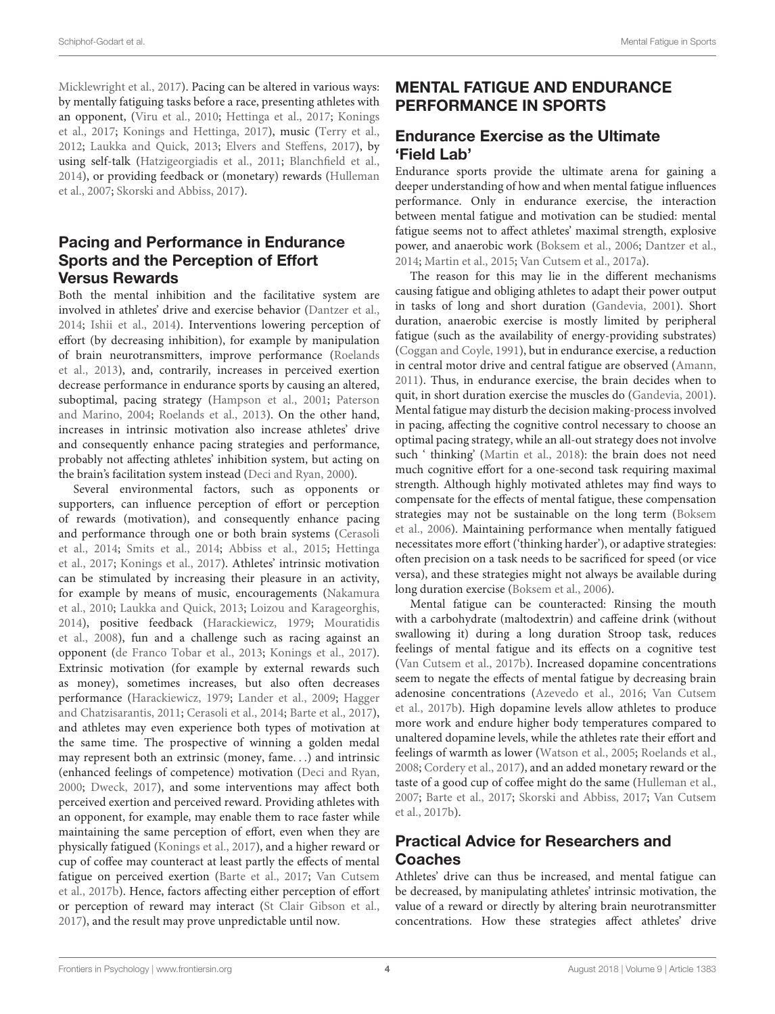[Micklewright et al.,](#page-5-27) [2017\)](#page-5-27). Pacing can be altered in various ways: by mentally fatiguing tasks before a race, presenting athletes with an opponent, [\(Viru et al.,](#page-6-19) [2010;](#page-6-19) [Hettinga et al.,](#page-5-28) [2017;](#page-5-28) [Konings](#page-5-29) [et al.,](#page-5-29) [2017;](#page-5-29) [Konings and Hettinga,](#page-5-30) [2017\)](#page-5-30), music [\(Terry et al.,](#page-6-20) [2012;](#page-6-20) [Laukka and Quick,](#page-5-31) [2013;](#page-5-31) [Elvers and Steffens,](#page-5-32) [2017\)](#page-5-32), by using self-talk [\(Hatzigeorgiadis et al.,](#page-5-33) [2011;](#page-5-33) [Blanchfield et al.,](#page-4-17) [2014\)](#page-4-17), or providing feedback or (monetary) rewards [\(Hulleman](#page-5-34) [et al.,](#page-5-34) [2007;](#page-5-34) [Skorski and Abbiss,](#page-6-17) [2017\)](#page-6-17).

### Pacing and Performance in Endurance Sports and the Perception of Effort Versus Rewards

Both the mental inhibition and the facilitative system are involved in athletes' drive and exercise behavior [\(Dantzer et al.,](#page-4-0) [2014;](#page-4-0) [Ishii et al.,](#page-5-10) [2014\)](#page-5-10). Interventions lowering perception of effort (by decreasing inhibition), for example by manipulation of brain neurotransmitters, improve performance [\(Roelands](#page-6-7) [et al.,](#page-6-7) [2013\)](#page-6-7), and, contrarily, increases in perceived exertion decrease performance in endurance sports by causing an altered, suboptimal, pacing strategy [\(Hampson et al.,](#page-5-35) [2001;](#page-5-35) [Paterson](#page-6-21) [and Marino,](#page-6-21) [2004;](#page-6-21) [Roelands et al.,](#page-6-7) [2013\)](#page-6-7). On the other hand, increases in intrinsic motivation also increase athletes' drive and consequently enhance pacing strategies and performance, probably not affecting athletes' inhibition system, but acting on the brain's facilitation system instead [\(Deci and Ryan,](#page-4-1) [2000\)](#page-4-1).

Several environmental factors, such as opponents or supporters, can influence perception of effort or perception of rewards (motivation), and consequently enhance pacing and performance through one or both brain systems [\(Cerasoli](#page-4-18) [et al.,](#page-4-18) [2014;](#page-4-18) [Smits et al.,](#page-6-18) [2014;](#page-6-18) [Abbiss et al.,](#page-4-19) [2015;](#page-4-19) [Hettinga](#page-5-28) [et al.,](#page-5-28) [2017;](#page-5-28) [Konings et al.,](#page-5-29) [2017\)](#page-5-29). Athletes' intrinsic motivation can be stimulated by increasing their pleasure in an activity, for example by means of music, encouragements [\(Nakamura](#page-5-36) [et al.,](#page-5-36) [2010;](#page-5-36) [Laukka and Quick,](#page-5-31) [2013;](#page-5-31) [Loizou and Karageorghis,](#page-5-37) [2014\)](#page-5-37), positive feedback [\(Harackiewicz,](#page-5-38) [1979;](#page-5-38) [Mouratidis](#page-5-21) [et al.,](#page-5-21) [2008\)](#page-5-21), fun and a challenge such as racing against an opponent [\(de Franco Tobar et al.,](#page-4-20) [2013;](#page-4-20) [Konings et al.,](#page-5-29) [2017\)](#page-5-29). Extrinsic motivation (for example by external rewards such as money), sometimes increases, but also often decreases performance [\(Harackiewicz,](#page-5-38) [1979;](#page-5-38) [Lander et al.,](#page-5-39) [2009;](#page-5-39) [Hagger](#page-5-40) [and Chatzisarantis,](#page-5-40) [2011;](#page-5-40) [Cerasoli et al.,](#page-4-18) [2014;](#page-4-18) [Barte et al.,](#page-4-13) [2017\)](#page-4-13), and athletes may even experience both types of motivation at the same time. The prospective of winning a golden medal may represent both an extrinsic (money, fame. . .) and intrinsic (enhanced feelings of competence) motivation [\(Deci and Ryan,](#page-4-1) [2000;](#page-4-1) [Dweck,](#page-5-24) [2017\)](#page-5-24), and some interventions may affect both perceived exertion and perceived reward. Providing athletes with an opponent, for example, may enable them to race faster while maintaining the same perception of effort, even when they are physically fatigued [\(Konings et al.,](#page-5-29) [2017\)](#page-5-29), and a higher reward or cup of coffee may counteract at least partly the effects of mental fatigue on perceived exertion [\(Barte et al.,](#page-4-13) [2017;](#page-4-13) [Van Cutsem](#page-6-22) [et al.,](#page-6-22) [2017b\)](#page-6-22). Hence, factors affecting either perception of effort or perception of reward may interact [\(St Clair Gibson et al.,](#page-6-23) [2017\)](#page-6-23), and the result may prove unpredictable until now.

# MENTAL FATIGUE AND ENDURANCE PERFORMANCE IN SPORTS

### Endurance Exercise as the Ultimate 'Field Lab'

Endurance sports provide the ultimate arena for gaining a deeper understanding of how and when mental fatigue influences performance. Only in endurance exercise, the interaction between mental fatigue and motivation can be studied: mental fatigue seems not to affect athletes' maximal strength, explosive power, and anaerobic work [\(Boksem et al.,](#page-4-12) [2006;](#page-4-12) [Dantzer et al.,](#page-4-0) [2014;](#page-4-0) [Martin et al.,](#page-5-41) [2015;](#page-5-41) [Van Cutsem et al.,](#page-6-2) [2017a\)](#page-6-2).

The reason for this may lie in the different mechanisms causing fatigue and obliging athletes to adapt their power output in tasks of long and short duration [\(Gandevia,](#page-5-42) [2001\)](#page-5-42). Short duration, anaerobic exercise is mostly limited by peripheral fatigue (such as the availability of energy-providing substrates) [\(Coggan and Coyle,](#page-4-21) [1991\)](#page-4-21), but in endurance exercise, a reduction in central motor drive and central fatigue are observed [\(Amann,](#page-4-22) [2011\)](#page-4-22). Thus, in endurance exercise, the brain decides when to quit, in short duration exercise the muscles do [\(Gandevia,](#page-5-42) [2001\)](#page-5-42). Mental fatigue may disturb the decision making-process involved in pacing, affecting the cognitive control necessary to choose an optimal pacing strategy, while an all-out strategy does not involve such ' thinking' [\(Martin et al.,](#page-5-3) [2018\)](#page-5-3): the brain does not need much cognitive effort for a one-second task requiring maximal strength. Although highly motivated athletes may find ways to compensate for the effects of mental fatigue, these compensation strategies may not be sustainable on the long term [\(Boksem](#page-4-12) [et al.,](#page-4-12) [2006\)](#page-4-12). Maintaining performance when mentally fatigued necessitates more effort ('thinking harder'), or adaptive strategies: often precision on a task needs to be sacrificed for speed (or vice versa), and these strategies might not always be available during long duration exercise [\(Boksem et al.,](#page-4-12) [2006\)](#page-4-12).

Mental fatigue can be counteracted: Rinsing the mouth with a carbohydrate (maltodextrin) and caffeine drink (without swallowing it) during a long duration Stroop task, reduces feelings of mental fatigue and its effects on a cognitive test [\(Van Cutsem et al.,](#page-6-22) [2017b\)](#page-6-22). Increased dopamine concentrations seem to negate the effects of mental fatigue by decreasing brain adenosine concentrations [\(Azevedo et al.,](#page-4-15) [2016;](#page-4-15) [Van Cutsem](#page-6-22) [et al.,](#page-6-22) [2017b\)](#page-6-22). High dopamine levels allow athletes to produce more work and endure higher body temperatures compared to unaltered dopamine levels, while the athletes rate their effort and feelings of warmth as lower [\(Watson et al.,](#page-6-24) [2005;](#page-6-24) [Roelands et al.,](#page-6-11) [2008;](#page-6-11) [Cordery et al.,](#page-4-23) [2017\)](#page-4-23), and an added monetary reward or the taste of a good cup of coffee might do the same [\(Hulleman et al.,](#page-5-34) [2007;](#page-5-34) [Barte et al.,](#page-4-13) [2017;](#page-4-13) [Skorski and Abbiss,](#page-6-17) [2017;](#page-6-17) [Van Cutsem](#page-6-22) [et al.,](#page-6-22) [2017b\)](#page-6-22).

### Practical Advice for Researchers and Coaches

Athletes' drive can thus be increased, and mental fatigue can be decreased, by manipulating athletes' intrinsic motivation, the value of a reward or directly by altering brain neurotransmitter concentrations. How these strategies affect athletes' drive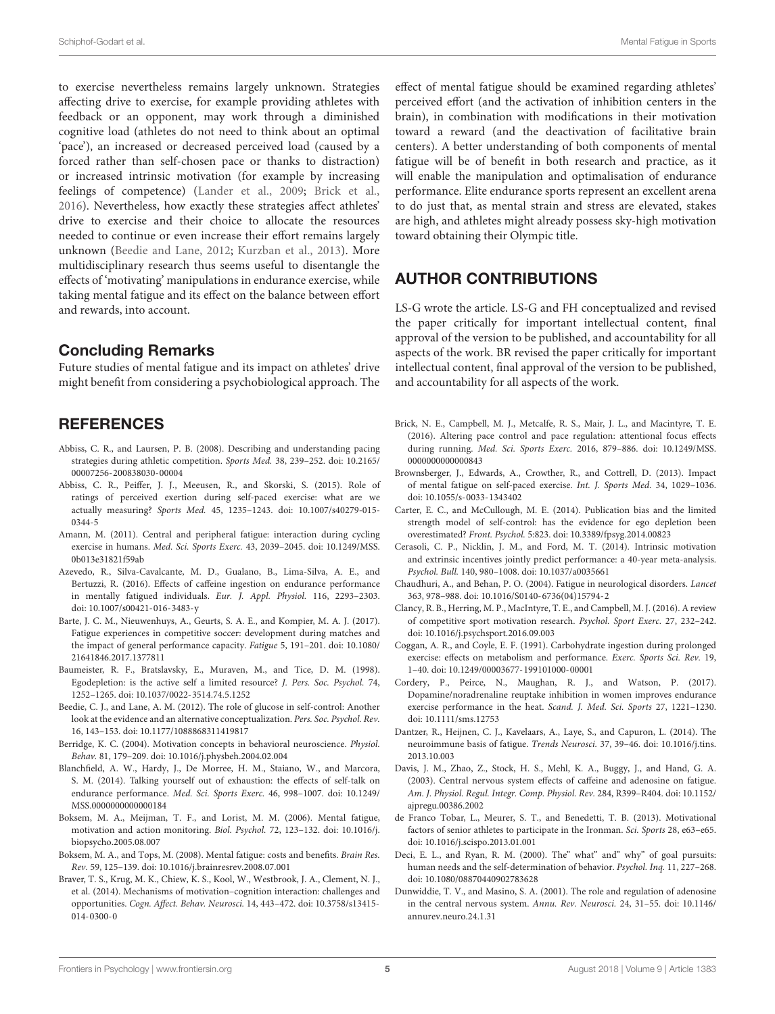to exercise nevertheless remains largely unknown. Strategies affecting drive to exercise, for example providing athletes with feedback or an opponent, may work through a diminished cognitive load (athletes do not need to think about an optimal 'pace'), an increased or decreased perceived load (caused by a forced rather than self-chosen pace or thanks to distraction) or increased intrinsic motivation (for example by increasing feelings of competence) [\(Lander et al.,](#page-5-39) [2009;](#page-5-39) [Brick et al.,](#page-4-24) [2016\)](#page-4-24). Nevertheless, how exactly these strategies affect athletes' drive to exercise and their choice to allocate the resources needed to continue or even increase their effort remains largely unknown [\(Beedie and Lane,](#page-4-7) [2012;](#page-4-7) [Kurzban et al.,](#page-5-8) [2013\)](#page-5-8). More multidisciplinary research thus seems useful to disentangle the effects of 'motivating' manipulations in endurance exercise, while taking mental fatigue and its effect on the balance between effort and rewards, into account.

### Concluding Remarks

Future studies of mental fatigue and its impact on athletes' drive might benefit from considering a psychobiological approach. The

### **REFERENCES**

- <span id="page-4-16"></span>Abbiss, C. R., and Laursen, P. B. (2008). Describing and understanding pacing strategies during athletic competition. Sports Med. 38, 239–252. [doi: 10.2165/](https://doi.org/10.2165/00007256-200838030-00004) [00007256-200838030-00004](https://doi.org/10.2165/00007256-200838030-00004)
- <span id="page-4-19"></span>Abbiss, C. R., Peiffer, J. J., Meeusen, R., and Skorski, S. (2015). Role of ratings of perceived exertion during self-paced exercise: what are we actually measuring? Sports Med. 45, 1235–1243. [doi: 10.1007/s40279-015-](https://doi.org/10.1007/s40279-015-0344-5) [0344-5](https://doi.org/10.1007/s40279-015-0344-5)
- <span id="page-4-22"></span>Amann, M. (2011). Central and peripheral fatigue: interaction during cycling exercise in humans. Med. Sci. Sports Exerc. 43, 2039–2045. [doi: 10.1249/MSS.](https://doi.org/10.1249/MSS.0b013e31821f59ab) [0b013e31821f59ab](https://doi.org/10.1249/MSS.0b013e31821f59ab)
- <span id="page-4-15"></span>Azevedo, R., Silva-Cavalcante, M. D., Gualano, B., Lima-Silva, A. E., and Bertuzzi, R. (2016). Effects of caffeine ingestion on endurance performance in mentally fatigued individuals. Eur. J. Appl. Physiol. 116, 2293–2303. [doi: 10.1007/s00421-016-3483-y](https://doi.org/10.1007/s00421-016-3483-y)
- <span id="page-4-13"></span>Barte, J. C. M., Nieuwenhuys, A., Geurts, S. A. E., and Kompier, M. A. J. (2017). Fatigue experiences in competitive soccer: development during matches and the impact of general performance capacity. Fatigue 5, 191–201. [doi: 10.1080/](https://doi.org/10.1080/21641846.2017.1377811) [21641846.2017.1377811](https://doi.org/10.1080/21641846.2017.1377811)
- <span id="page-4-5"></span>Baumeister, R. F., Bratslavsky, E., Muraven, M., and Tice, D. M. (1998). Egodepletion: is the active self a limited resource? J. Pers. Soc. Psychol. 74, 1252–1265. [doi: 10.1037/0022-3514.74.5.1252](https://doi.org/10.1037/0022-3514.74.5.1252)
- <span id="page-4-7"></span>Beedie, C. J., and Lane, A. M. (2012). The role of glucose in self-control: Another look at the evidence and an alternative conceptualization. Pers. Soc. Psychol. Rev. 16, 143–153. [doi: 10.1177/1088868311419817](https://doi.org/10.1177/1088868311419817)
- <span id="page-4-2"></span>Berridge, K. C. (2004). Motivation concepts in behavioral neuroscience. Physiol. Behav. 81, 179–209. [doi: 10.1016/j.physbeh.2004.02.004](https://doi.org/10.1016/j.physbeh.2004.02.004)
- <span id="page-4-17"></span>Blanchfield, A. W., Hardy, J., De Morree, H. M., Staiano, W., and Marcora, S. M. (2014). Talking yourself out of exhaustion: the effects of self-talk on endurance performance. Med. Sci. Sports Exerc. 46, 998–1007. [doi: 10.1249/](https://doi.org/10.1249/MSS.0000000000000184) [MSS.0000000000000184](https://doi.org/10.1249/MSS.0000000000000184)
- <span id="page-4-12"></span>Boksem, M. A., Meijman, T. F., and Lorist, M. M. (2006). Mental fatigue, motivation and action monitoring. Biol. Psychol. 72, 123–132. [doi: 10.1016/j.](https://doi.org/10.1016/j.biopsycho.2005.08.007) [biopsycho.2005.08.007](https://doi.org/10.1016/j.biopsycho.2005.08.007)
- <span id="page-4-4"></span>Boksem, M. A., and Tops, M. (2008). Mental fatigue: costs and benefits. Brain Res. Rev. 59, 125–139. [doi: 10.1016/j.brainresrev.2008.07.001](https://doi.org/10.1016/j.brainresrev.2008.07.001)
- <span id="page-4-11"></span>Braver, T. S., Krug, M. K., Chiew, K. S., Kool, W., Westbrook, J. A., Clement, N. J., et al. (2014). Mechanisms of motivation–cognition interaction: challenges and opportunities. Cogn. Affect. Behav. Neurosci. 14, 443–472. [doi: 10.3758/s13415-](https://doi.org/10.3758/s13415-014-0300-0) [014-0300-0](https://doi.org/10.3758/s13415-014-0300-0)

effect of mental fatigue should be examined regarding athletes' perceived effort (and the activation of inhibition centers in the brain), in combination with modifications in their motivation toward a reward (and the deactivation of facilitative brain centers). A better understanding of both components of mental fatigue will be of benefit in both research and practice, as it will enable the manipulation and optimalisation of endurance performance. Elite endurance sports represent an excellent arena to do just that, as mental strain and stress are elevated, stakes are high, and athletes might already possess sky-high motivation toward obtaining their Olympic title.

### AUTHOR CONTRIBUTIONS

LS-G wrote the article. LS-G and FH conceptualized and revised the paper critically for important intellectual content, final approval of the version to be published, and accountability for all aspects of the work. BR revised the paper critically for important intellectual content, final approval of the version to be published, and accountability for all aspects of the work.

- <span id="page-4-24"></span>Brick, N. E., Campbell, M. J., Metcalfe, R. S., Mair, J. L., and Macintyre, T. E. (2016). Altering pace control and pace regulation: attentional focus effects during running. Med. Sci. Sports Exerc. 2016, 879–886. [doi: 10.1249/MSS.](https://doi.org/10.1249/MSS.0000000000000843) [0000000000000843](https://doi.org/10.1249/MSS.0000000000000843)
- <span id="page-4-8"></span>Brownsberger, J., Edwards, A., Crowther, R., and Cottrell, D. (2013). Impact of mental fatigue on self-paced exercise. Int. J. Sports Med. 34, 1029–1036. [doi: 10.1055/s-0033-1343402](https://doi.org/10.1055/s-0033-1343402)
- <span id="page-4-6"></span>Carter, E. C., and McCullough, M. E. (2014). Publication bias and the limited strength model of self-control: has the evidence for ego depletion been overestimated? Front. Psychol. 5:823. [doi: 10.3389/fpsyg.2014.00823](https://doi.org/10.3389/fpsyg.2014.00823)
- <span id="page-4-18"></span>Cerasoli, C. P., Nicklin, J. M., and Ford, M. T. (2014). Intrinsic motivation and extrinsic incentives jointly predict performance: a 40-year meta-analysis. Psychol. Bull. 140, 980–1008. [doi: 10.1037/a0035661](https://doi.org/10.1037/a0035661)
- <span id="page-4-3"></span>Chaudhuri, A., and Behan, P. O. (2004). Fatigue in neurological disorders. Lancet 363, 978–988. [doi: 10.1016/S0140-6736\(04\)15794-2](https://doi.org/10.1016/S0140-6736(04)15794-2)
- <span id="page-4-10"></span>Clancy, R. B., Herring, M. P., MacIntyre, T. E., and Campbell, M. J. (2016). A review of competitive sport motivation research. Psychol. Sport Exerc. 27, 232–242. [doi: 10.1016/j.psychsport.2016.09.003](https://doi.org/10.1016/j.psychsport.2016.09.003)
- <span id="page-4-21"></span>Coggan, A. R., and Coyle, E. F. (1991). Carbohydrate ingestion during prolonged exercise: effects on metabolism and performance. Exerc. Sports Sci. Rev. 19, 1–40. [doi: 10.1249/00003677-199101000-00001](https://doi.org/10.1249/00003677-199101000-00001)
- <span id="page-4-23"></span>Cordery, P., Peirce, N., Maughan, R. J., and Watson, P. (2017). Dopamine/noradrenaline reuptake inhibition in women improves endurance exercise performance in the heat. Scand. J. Med. Sci. Sports 27, 1221–1230. [doi: 10.1111/sms.12753](https://doi.org/10.1111/sms.12753)
- <span id="page-4-0"></span>Dantzer, R., Heijnen, C. J., Kavelaars, A., Laye, S., and Capuron, L. (2014). The neuroimmune basis of fatigue. Trends Neurosci. 37, 39–46. [doi: 10.1016/j.tins.](https://doi.org/10.1016/j.tins.2013.10.003) [2013.10.003](https://doi.org/10.1016/j.tins.2013.10.003)
- <span id="page-4-9"></span>Davis, J. M., Zhao, Z., Stock, H. S., Mehl, K. A., Buggy, J., and Hand, G. A. (2003). Central nervous system effects of caffeine and adenosine on fatigue. Am. J. Physiol. Regul. Integr. Comp. Physiol. Rev. 284, R399–R404. [doi: 10.1152/](https://doi.org/10.1152/ajpregu.00386.2002) [ajpregu.00386.2002](https://doi.org/10.1152/ajpregu.00386.2002)
- <span id="page-4-20"></span>de Franco Tobar, L., Meurer, S. T., and Benedetti, T. B. (2013). Motivational factors of senior athletes to participate in the Ironman. Sci. Sports 28, e63–e65. [doi: 10.1016/j.scispo.2013.01.001](https://doi.org/10.1016/j.scispo.2013.01.001)
- <span id="page-4-1"></span>Deci, E. L., and Ryan, R. M. (2000). The" what" and" why" of goal pursuits: human needs and the self-determination of behavior. Psychol. Inq. 11, 227–268. [doi: 10.1080/08870440902783628](https://doi.org/10.1080/08870440902783628)
- <span id="page-4-14"></span>Dunwiddie, T. V., and Masino, S. A. (2001). The role and regulation of adenosine in the central nervous system. Annu. Rev. Neurosci. 24, 31–55. [doi: 10.1146/](https://doi.org/10.1146/annurev.neuro.24.1.31) [annurev.neuro.24.1.31](https://doi.org/10.1146/annurev.neuro.24.1.31)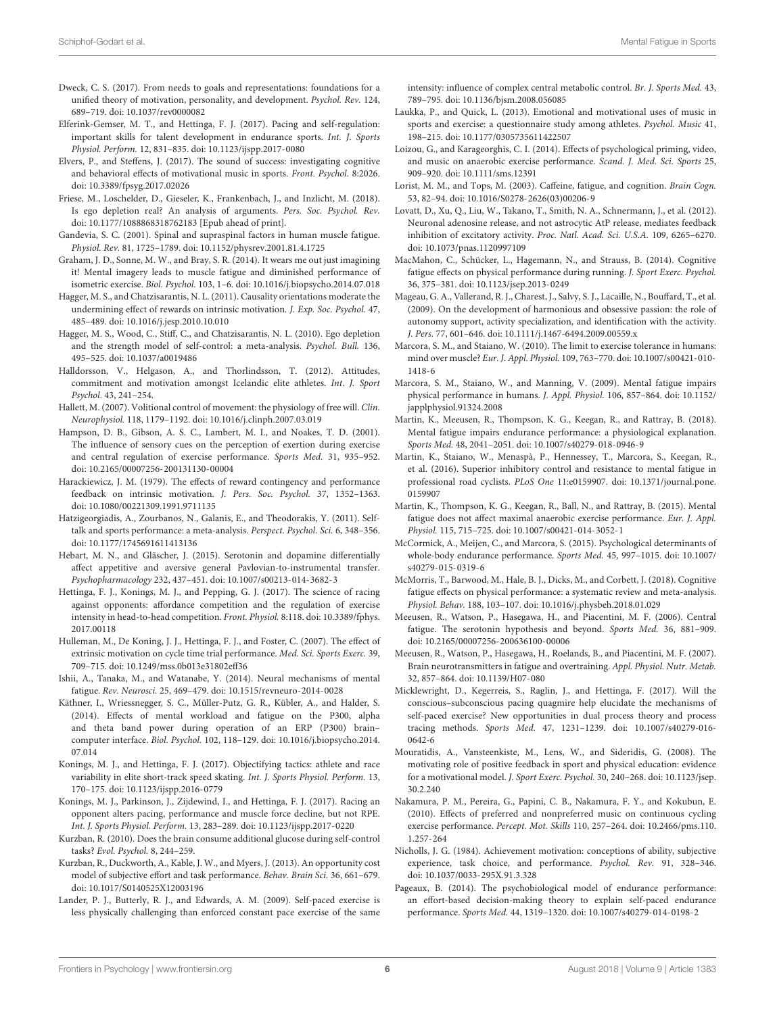- <span id="page-5-24"></span>Dweck, C. S. (2017). From needs to goals and representations: foundations for a unified theory of motivation, personality, and development. Psychol. Rev. 124, 689–719. [doi: 10.1037/rev0000082](https://doi.org/10.1037/rev0000082)
- <span id="page-5-13"></span>Elferink-Gemser, M. T., and Hettinga, F. J. (2017). Pacing and self-regulation: important skills for talent development in endurance sports. Int. J. Sports Physiol. Perform. 12, 831–835. [doi: 10.1123/ijspp.2017-0080](https://doi.org/10.1123/ijspp.2017-0080)
- <span id="page-5-32"></span>Elvers, P., and Steffens, J. (2017). The sound of success: investigating cognitive and behavioral effects of motivational music in sports. Front. Psychol. 8:2026. [doi: 10.3389/fpsyg.2017.02026](https://doi.org/10.3389/fpsyg.2017.02026)
- <span id="page-5-7"></span>Friese, M., Loschelder, D., Gieseler, K., Frankenbach, J., and Inzlicht, M. (2018). Is ego depletion real? An analysis of arguments. Pers. Soc. Psychol. Rev. [doi: 10.1177/1088868318762183](https://doi.org/10.1177/1088868318762183) [Epub ahead of print].
- <span id="page-5-42"></span>Gandevia, S. C. (2001). Spinal and supraspinal factors in human muscle fatigue. Physiol. Rev. 81, 1725–1789. [doi: 10.1152/physrev.2001.81.4.1725](https://doi.org/10.1152/physrev.2001.81.4.1725)
- <span id="page-5-5"></span>Graham, J. D., Sonne, M. W., and Bray, S. R. (2014). It wears me out just imagining it! Mental imagery leads to muscle fatigue and diminished performance of isometric exercise. Biol. Psychol. 103, 1–6. [doi: 10.1016/j.biopsycho.2014.07.018](https://doi.org/10.1016/j.biopsycho.2014.07.018)
- <span id="page-5-40"></span>Hagger, M. S., and Chatzisarantis, N. L. (2011). Causality orientations moderate the undermining effect of rewards on intrinsic motivation. J. Exp. Soc. Psychol. 47, 485–489. [doi: 10.1016/j.jesp.2010.10.010](https://doi.org/10.1016/j.jesp.2010.10.010)
- <span id="page-5-4"></span>Hagger, M. S., Wood, C., Stiff, C., and Chatzisarantis, N. L. (2010). Ego depletion and the strength model of self-control: a meta-analysis. Psychol. Bull. 136, 495–525. [doi: 10.1037/a0019486](https://doi.org/10.1037/a0019486)
- <span id="page-5-20"></span>Halldorsson, V., Helgason, A., and Thorlindsson, T. (2012). Attitudes, commitment and motivation amongst Icelandic elite athletes. Int. J. Sport Psychol. 43, 241–254.
- <span id="page-5-11"></span>Hallett, M. (2007). Volitional control of movement: the physiology of free will. Clin. Neurophysiol. 118, 1179–1192. [doi: 10.1016/j.clinph.2007.03.019](https://doi.org/10.1016/j.clinph.2007.03.019)
- <span id="page-5-35"></span>Hampson, D. B., Gibson, A. S. C., Lambert, M. I., and Noakes, T. D. (2001). The influence of sensory cues on the perception of exertion during exercise and central regulation of exercise performance. Sports Med. 31, 935–952. [doi: 10.2165/00007256-200131130-00004](https://doi.org/10.2165/00007256-200131130-00004)
- <span id="page-5-38"></span>Harackiewicz, J. M. (1979). The effects of reward contingency and performance feedback on intrinsic motivation. J. Pers. Soc. Psychol. 37, 1352–1363. [doi: 10.1080/00221309.1991.9711135](https://doi.org/10.1080/00221309.1991.9711135)
- <span id="page-5-33"></span>Hatzigeorgiadis, A., Zourbanos, N., Galanis, E., and Theodorakis, Y. (2011). Selftalk and sports performance: a meta-analysis. Perspect. Psychol. Sci. 6, 348–356. [doi: 10.1177/1745691611413136](https://doi.org/10.1177/1745691611413136)
- <span id="page-5-18"></span>Hebart, M. N., and Gläscher, J. (2015). Serotonin and dopamine differentially affect appetitive and aversive general Pavlovian-to-instrumental transfer. Psychopharmacology 232, 437–451. [doi: 10.1007/s00213-014-3682-3](https://doi.org/10.1007/s00213-014-3682-3)
- <span id="page-5-28"></span>Hettinga, F. J., Konings, M. J., and Pepping, G. J. (2017). The science of racing against opponents: affordance competition and the regulation of exercise intensity in head-to-head competition. Front. Physiol. 8:118. [doi: 10.3389/fphys.](https://doi.org/10.3389/fphys.2017.00118) [2017.00118](https://doi.org/10.3389/fphys.2017.00118)
- <span id="page-5-34"></span>Hulleman, M., De Koning, J. J., Hettinga, F. J., and Foster, C. (2007). The effect of extrinsic motivation on cycle time trial performance. Med. Sci. Sports Exerc. 39, 709–715. [doi: 10.1249/mss.0b013e31802eff36](https://doi.org/10.1249/mss.0b013e31802eff36)
- <span id="page-5-10"></span>Ishii, A., Tanaka, M., and Watanabe, Y. (2014). Neural mechanisms of mental fatigue. Rev. Neurosci. 25, 469–479. [doi: 10.1515/revneuro-2014-0028](https://doi.org/10.1515/revneuro-2014-0028)
- <span id="page-5-15"></span>Käthner, I., Wriessnegger, S. C., Müller-Putz, G. R., Kübler, A., and Halder, S. (2014). Effects of mental workload and fatigue on the P300, alpha and theta band power during operation of an ERP (P300) brain– computer interface. Biol. Psychol. 102, 118–129. [doi: 10.1016/j.biopsycho.2014.](https://doi.org/10.1016/j.biopsycho.2014.07.014) [07.014](https://doi.org/10.1016/j.biopsycho.2014.07.014)
- <span id="page-5-30"></span>Konings, M. J., and Hettinga, F. J. (2017). Objectifying tactics: athlete and race variability in elite short-track speed skating. Int. J. Sports Physiol. Perform. 13, 170–175. [doi: 10.1123/ijspp.2016-0779](https://doi.org/10.1123/ijspp.2016-0779)
- <span id="page-5-29"></span>Konings, M. J., Parkinson, J., Zijdewind, I., and Hettinga, F. J. (2017). Racing an opponent alters pacing, performance and muscle force decline, but not RPE. Int. J. Sports Physiol. Perform. 13, 283–289. [doi: 10.1123/ijspp.2017-0220](https://doi.org/10.1123/ijspp.2017-0220)
- <span id="page-5-6"></span>Kurzban, R. (2010). Does the brain consume additional glucose during self-control tasks? Evol. Psychol. 8, 244–259.
- <span id="page-5-8"></span>Kurzban, R., Duckworth, A., Kable, J. W., and Myers, J. (2013). An opportunity cost model of subjective effort and task performance. Behav. Brain Sci. 36, 661–679. [doi: 10.1017/S0140525X12003196](https://doi.org/10.1017/S0140525X12003196)
- <span id="page-5-39"></span>Lander, P. J., Butterly, R. J., and Edwards, A. M. (2009). Self-paced exercise is less physically challenging than enforced constant pace exercise of the same

intensity: influence of complex central metabolic control. Br. J. Sports Med. 43, 789–795. [doi: 10.1136/bjsm.2008.056085](https://doi.org/10.1136/bjsm.2008.056085)

- <span id="page-5-31"></span>Laukka, P., and Quick, L. (2013). Emotional and motivational uses of music in sports and exercise: a questionnaire study among athletes. Psychol. Music 41, 198–215. [doi: 10.1177/0305735611422507](https://doi.org/10.1177/0305735611422507)
- <span id="page-5-37"></span>Loizou, G., and Karageorghis, C. I. (2014). Effects of psychological priming, video, and music on anaerobic exercise performance. Scand. J. Med. Sci. Sports 25, 909–920. [doi: 10.1111/sms.12391](https://doi.org/10.1111/sms.12391)
- <span id="page-5-26"></span>Lorist, M. M., and Tops, M. (2003). Caffeine, fatigue, and cognition. Brain Cogn. 53, 82–94. [doi: 10.1016/S0278-2626\(03\)00206-9](https://doi.org/10.1016/S0278-2626(03)00206-9)
- <span id="page-5-17"></span>Lovatt, D., Xu, Q., Liu, W., Takano, T., Smith, N. A., Schnermann, J., et al. (2012). Neuronal adenosine release, and not astrocytic AtP release, mediates feedback inhibition of excitatory activity. Proc. Natl. Acad. Sci. U.S.A. 109, 6265–6270. [doi: 10.1073/pnas.1120997109](https://doi.org/10.1073/pnas.1120997109)
- <span id="page-5-1"></span>MacMahon, C., Schücker, L., Hagemann, N., and Strauss, B. (2014). Cognitive fatigue effects on physical performance during running. J. Sport Exerc. Psychol. 36, 375–381. [doi: 10.1123/jsep.2013-0249](https://doi.org/10.1123/jsep.2013-0249)
- <span id="page-5-22"></span>Mageau, G. A., Vallerand, R. J., Charest, J., Salvy, S. J., Lacaille, N., Bouffard, T., et al. (2009). On the development of harmonious and obsessive passion: the role of autonomy support, activity specialization, and identification with the activity. J. Pers. 77, 601–646. [doi: 10.1111/j.1467-6494.2009.00559.x](https://doi.org/10.1111/j.1467-6494.2009.00559.x)
- <span id="page-5-14"></span>Marcora, S. M., and Staiano, W. (2010). The limit to exercise tolerance in humans: mind over muscle? Eur. J. Appl. Physiol. 109, 763–770. [doi: 10.1007/s00421-010-](https://doi.org/10.1007/s00421-010-1418-6) [1418-6](https://doi.org/10.1007/s00421-010-1418-6)
- <span id="page-5-0"></span>Marcora, S. M., Staiano, W., and Manning, V. (2009). Mental fatigue impairs physical performance in humans. J. Appl. Physiol. 106, 857–864. [doi: 10.1152/](https://doi.org/10.1152/japplphysiol.91324.2008) [japplphysiol.91324.2008](https://doi.org/10.1152/japplphysiol.91324.2008)
- <span id="page-5-3"></span>Martin, K., Meeusen, R., Thompson, K. G., Keegan, R., and Rattray, B. (2018). Mental fatigue impairs endurance performance: a physiological explanation. Sports Med. 48, 2041–2051. [doi: 10.1007/s40279-018-0946-9](https://doi.org/10.1007/s40279-018-0946-9)
- <span id="page-5-12"></span>Martin, K., Staiano, W., Menaspà, P., Hennessey, T., Marcora, S., Keegan, R., et al. (2016). Superior inhibitory control and resistance to mental fatigue in professional road cyclists. PLoS One 11:e0159907. [doi: 10.1371/journal.pone.](https://doi.org/10.1371/journal.pone.0159907) [0159907](https://doi.org/10.1371/journal.pone.0159907)
- <span id="page-5-41"></span>Martin, K., Thompson, K. G., Keegan, R., Ball, N., and Rattray, B. (2015). Mental fatigue does not affect maximal anaerobic exercise performance. Eur. J. Appl. Physiol. 115, 715–725. [doi: 10.1007/s00421-014-3052-1](https://doi.org/10.1007/s00421-014-3052-1)
- <span id="page-5-19"></span>McCormick, A., Meijen, C., and Marcora, S. (2015). Psychological determinants of whole-body endurance performance. Sports Med. 45, 997–1015. [doi: 10.1007/](https://doi.org/10.1007/s40279-015-0319-6) [s40279-015-0319-6](https://doi.org/10.1007/s40279-015-0319-6)
- <span id="page-5-2"></span>McMorris, T., Barwood, M., Hale, B. J., Dicks, M., and Corbett, J. (2018). Cognitive fatigue effects on physical performance: a systematic review and meta-analysis. Physiol. Behav. 188, 103–107. [doi: 10.1016/j.physbeh.2018.01.029](https://doi.org/10.1016/j.physbeh.2018.01.029)
- <span id="page-5-16"></span>Meeusen, R., Watson, P., Hasegawa, H., and Piacentini, M. F. (2006). Central fatigue. The serotonin hypothesis and beyond. Sports Med. 36, 881–909. [doi: 10.2165/00007256-200636100-00006](https://doi.org/10.2165/00007256-200636100-00006)
- <span id="page-5-25"></span>Meeusen, R., Watson, P., Hasegawa, H., Roelands, B., and Piacentini, M. F. (2007). Brain neurotransmitters in fatigue and overtraining. Appl. Physiol. Nutr. Metab. 32, 857–864. [doi: 10.1139/H07-080](https://doi.org/10.1139/H07-080)
- <span id="page-5-27"></span>Micklewright, D., Kegerreis, S., Raglin, J., and Hettinga, F. (2017). Will the conscious–subconscious pacing quagmire help elucidate the mechanisms of self-paced exercise? New opportunities in dual process theory and process tracing methods. Sports Med. 47, 1231–1239. [doi: 10.1007/s40279-016-](https://doi.org/10.1007/s40279-016-0642-6) [0642-6](https://doi.org/10.1007/s40279-016-0642-6)
- <span id="page-5-21"></span>Mouratidis, A., Vansteenkiste, M., Lens, W., and Sideridis, G. (2008). The motivating role of positive feedback in sport and physical education: evidence for a motivational model. J. Sport Exerc. Psychol. 30, 240–268. [doi: 10.1123/jsep.](https://doi.org/10.1123/jsep.30.2.240) [30.2.240](https://doi.org/10.1123/jsep.30.2.240)
- <span id="page-5-36"></span>Nakamura, P. M., Pereira, G., Papini, C. B., Nakamura, F. Y., and Kokubun, E. (2010). Effects of preferred and nonpreferred music on continuous cycling exercise performance. Percept. Mot. Skills 110, 257–264. [doi: 10.2466/pms.110.](https://doi.org/10.2466/pms.110.1.257-264) [1.257-264](https://doi.org/10.2466/pms.110.1.257-264)
- <span id="page-5-23"></span>Nicholls, J. G. (1984). Achievement motivation: conceptions of ability, subjective experience, task choice, and performance. Psychol. Rev. 91, 328–346. [doi: 10.1037/0033-295X.91.3.328](https://doi.org/10.1037/0033-295X.91.3.328)
- <span id="page-5-9"></span>Pageaux, B. (2014). The psychobiological model of endurance performance: an effort-based decision-making theory to explain self-paced endurance performance. Sports Med. 44, 1319–1320. [doi: 10.1007/s40279-014-0198-2](https://doi.org/10.1007/s40279-014-0198-2)